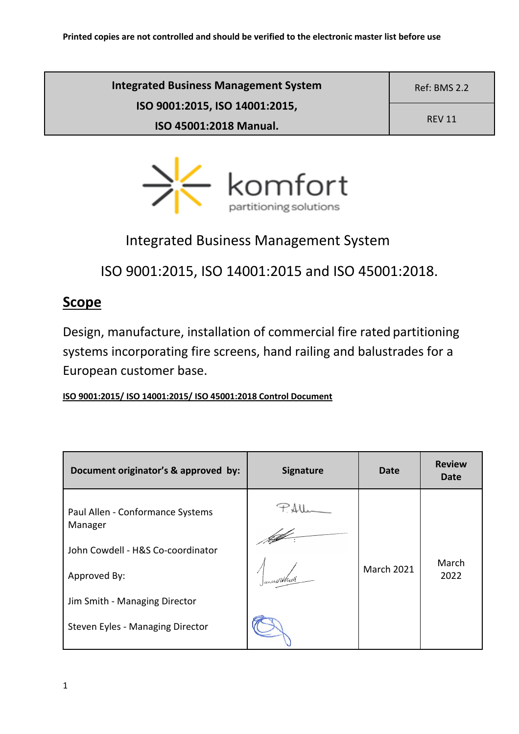| <b>Integrated Business Management System</b> | <b>Ref: BMS 2.2</b> |
|----------------------------------------------|---------------------|
| ISO 9001:2015, ISO 14001:2015,               | <b>REV 11</b>       |
| ISO 45001:2018 Manual.                       |                     |



# Integrated Business Management System

ISO 9001:2015, ISO 14001:2015 and ISO 45001:2018.

# **Scope**

Design, manufacture, installation of commercial fire rated partitioning systems incorporating fire screens, hand railing and balustrades for a European customer base.

**ISO 9001:2015/ ISO 14001:2015/ ISO 45001:2018 Control Document**

| Document originator's & approved by:        | <b>Signature</b> | Date              | <b>Review</b><br>Date |
|---------------------------------------------|------------------|-------------------|-----------------------|
| Paul Allen - Conformance Systems<br>Manager |                  |                   |                       |
| John Cowdell - H&S Co-coordinator           |                  |                   |                       |
| Approved By:                                |                  | <b>March 2021</b> | March<br>2022         |
| Jim Smith - Managing Director               |                  |                   |                       |
| Steven Eyles - Managing Director            |                  |                   |                       |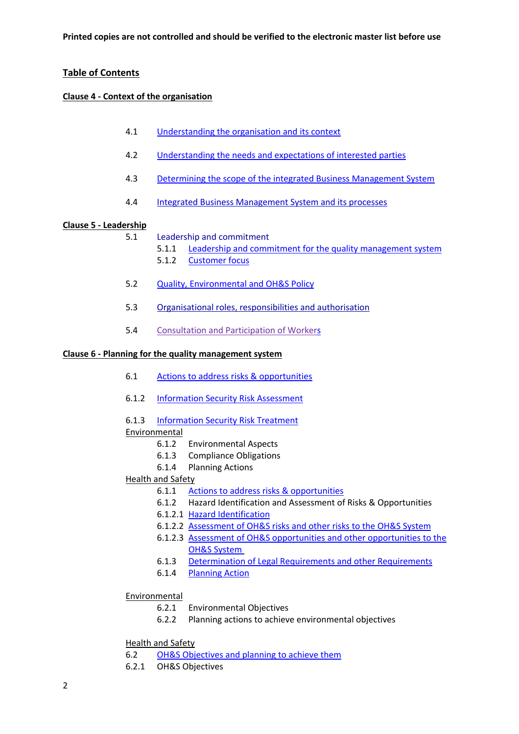## **Table of Contents**

#### **Clause 4 - Context of the organisation**

- 4.1 Understanding the organisation and its context
- 4.2 Understanding the needs and expectations of interested parties
- 4.3 Determining the scope of the integrated Business Management System
- 4.4 Integrated Business Management System and its processes

#### **Clause 5 - Leadership**

- 5.1 Leadership and commitment
	- 5.1.1 Leadership and commitment for the quality management system
	- 5.1.2 Customer focus
- 5.2 Quality, Environmental and OH&S Policy
- 5.3 Organisational roles, responsibilities and authorisation
- 5.4 Consultation and Participation of Workers

#### **Clause 6 - Planning for the quality management system**

- 6.1 Actions to address risks & opportunities
- 6.1.2 Information Security Risk Assessment
- 6.1.3 Information Security Risk Treatment

#### **Environmental**

- 6.1.2 Environmental Aspects
- 6.1.3 Compliance Obligations
- 6.1.4 Planning Actions

#### Health and Safety

- 6.1.1 Actions to address risks & opportunities
- 6.1.2 Hazard Identification and Assessment of Risks & Opportunities
- 6.1.2.1 Hazard Identification
- 6.1.2.2 Assessment of OH&S risks and other risks to the OH&S System
- 6.1.2.3 Assessment of OH&S opportunities and other opportunities to the OH&S System
- 6.1.3 Determination of Legal Requirements and other Requirements
- 6.1.4 Planning Action

#### Environmental

- 6.2.1 Environmental Objectives
- 6.2.2 Planning actions to achieve environmental objectives

## Health and Safety

- 6.2 OH&S Objectives and planning to achieve them
- 6.2.1 OH&S Objectives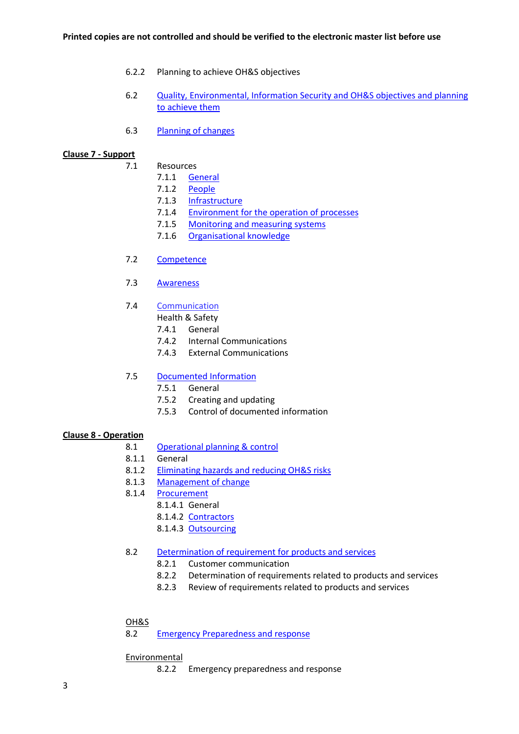- 6.2.2 Planning to achieve OH&S objectives
- 6.2 Quality, Environmental, Information Security and OH&S objectives and planning to achieve them
- 6.3 Planning of changes

#### **Clause 7 - Support**

- 7.1 Resources
	- 7.1.1 General
	- 7.1.2 People
	- 7.1.3 Infrastructure
	- 7.1.4 Environment for the operation of processes
	- 7.1.5 Monitoring and measuring systems
	- 7.1.6 Organisational knowledge
- 7.2 Competence
- 7.3 Awareness
- 7.4 Communication
	- Health & Safety
	- 7.4.1 General
	- 7.4.2 Internal Communications
	- 7.4.3 External Communications

#### 7.5 Documented Information

- 7.5.1 General
- 7.5.2 Creating and updating
- 7.5.3 Control of documented information

#### **Clause 8 - Operation**

- 8.1 Operational planning & control
- 8.1.1 General
- 8.1.2 Eliminating hazards and reducing OH&S risks
- 8.1.3 Management of change
- 8.1.4 Procurement
	- 8.1.4.1 General
		- 8.1.4.2 Contractors
		- 8.1.4.3 Outsourcing
- 8.2 Determination of requirement for products and services
	- 8.2.1 Customer communication
	- 8.2.2 Determination of requirements related to products and services
	- 8.2.3 Review of requirements related to products and services

#### OH&S

8.2 Emergency Preparedness and response

Environmental

8.2.2 Emergency preparedness and response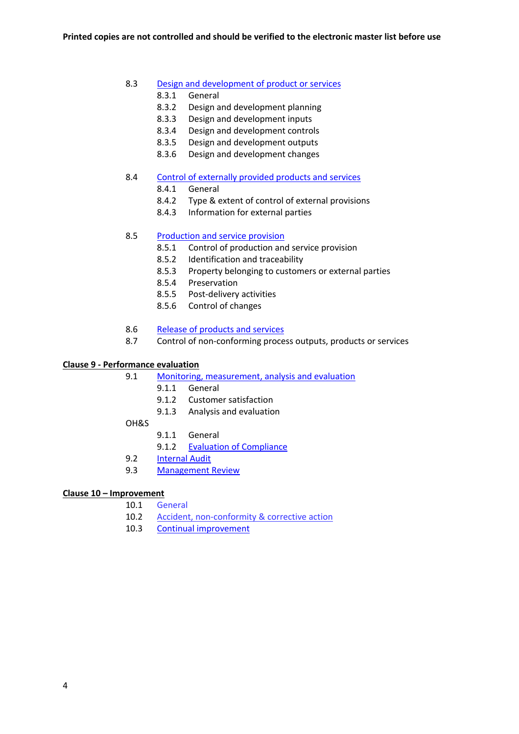#### 8.3 Design and development of product or services

- 8.3.1 General
- 8.3.2 Design and development planning
- 8.3.3 Design and development inputs
- 8.3.4 Design and development controls
- 8.3.5 Design and development outputs
- 8.3.6 Design and development changes
- 8.4 Control of externally provided products and services
	- 8.4.1 General
	- 8.4.2 Type & extent of control of external provisions
	- 8.4.3 Information for external parties

#### 8.5 Production and service provision

- 8.5.1 Control of production and service provision
- 8.5.2 Identification and traceability
- 8.5.3 Property belonging to customers or external parties
- 8.5.4 Preservation
- 8.5.5 Post-delivery activities
- 8.5.6 Control of changes
- 8.6 Release of products and services
- 8.7 Control of non-conforming process outputs, products or services

#### **Clause 9 - Performance evaluation**

9.1 Monitoring, measurement, analysis and evaluation

- 9.1.1 General
- 9.1.2 Customer satisfaction
- 9.1.3 Analysis and evaluation
- OH&S
	- 9.1.1 General
	- 9.1.2 Evaluation of Compliance
- 9.2 Internal Audit
- 9.3 Management Review

#### **Clause 10 – Improvement**

- 10.1 General
- 10.2 Accident, non-conformity & corrective action
- 10.3 Continual improvement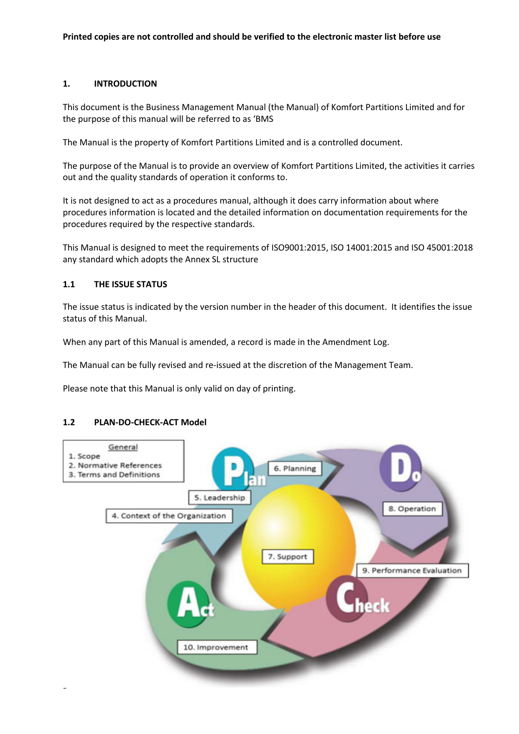#### **1. INTRODUCTION**

This document is the Business Management Manual (the Manual) of Komfort Partitions Limited and for the purpose of this manual will be referred to as 'BMS

The Manual is the property of Komfort Partitions Limited and is a controlled document.

The purpose of the Manual is to provide an overview of Komfort Partitions Limited, the activities it carries out and the quality standards of operation it conforms to.

It is not designed to act as a procedures manual, although it does carry information about where procedures information is located and the detailed information on documentation requirements for the procedures required by the respective standards.

This Manual is designed to meet the requirements of ISO9001:2015, ISO 14001:2015 and ISO 45001:2018 any standard which adopts the Annex SL structure

## **1.1 THE ISSUE STATUS**

The issue status is indicated by the version number in the header of this document. It identifies the issue status of this Manual.

When any part of this Manual is amended, a record is made in the Amendment Log.

The Manual can be fully revised and re-issued at the discretion of the Management Team.

Please note that this Manual is only valid on day of printing.

#### **1.2 PLAN-DO-CHECK-ACT Model**

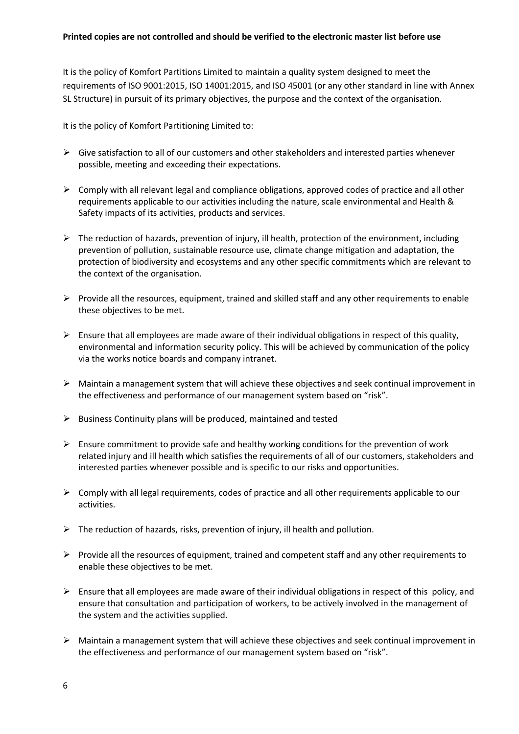It is the policy of Komfort Partitions Limited to maintain a quality system designed to meet the requirements of ISO 9001:2015, ISO 14001:2015, and ISO 45001 (or any other standard in line with Annex SL Structure) in pursuit of its primary objectives, the purpose and the context of the organisation.

It is the policy of Komfort Partitioning Limited to:

- $\triangleright$  Give satisfaction to all of our customers and other stakeholders and interested parties whenever possible, meeting and exceeding their expectations.
- $\triangleright$  Comply with all relevant legal and compliance obligations, approved codes of practice and all other requirements applicable to our activities including the nature, scale environmental and Health & Safety impacts of its activities, products and services.
- $\triangleright$  The reduction of hazards, prevention of injury, ill health, protection of the environment, including prevention of pollution, sustainable resource use, climate change mitigation and adaptation, the protection of biodiversity and ecosystems and any other specific commitments which are relevant to the context of the organisation.
- $\triangleright$  Provide all the resources, equipment, trained and skilled staff and any other requirements to enable these objectives to be met.
- $\triangleright$  Ensure that all employees are made aware of their individual obligations in respect of this quality, environmental and information security policy. This will be achieved by communication of the policy via the works notice boards and company intranet.
- $\triangleright$  Maintain a management system that will achieve these objectives and seek continual improvement in the effectiveness and performance of our management system based on "risk".
- $\triangleright$  Business Continuity plans will be produced, maintained and tested
- $\triangleright$  Ensure commitment to provide safe and healthy working conditions for the prevention of work related injury and ill health which satisfies the requirements of all of our customers, stakeholders and interested parties whenever possible and is specific to our risks and opportunities.
- $\triangleright$  Comply with all legal requirements, codes of practice and all other requirements applicable to our activities.
- $\triangleright$  The reduction of hazards, risks, prevention of injury, ill health and pollution.
- $\triangleright$  Provide all the resources of equipment, trained and competent staff and any other requirements to enable these objectives to be met.
- $\triangleright$  Ensure that all employees are made aware of their individual obligations in respect of this policy, and ensure that consultation and participation of workers, to be actively involved in the management of the system and the activities supplied.
- $\triangleright$  Maintain a management system that will achieve these objectives and seek continual improvement in the effectiveness and performance of our management system based on "risk".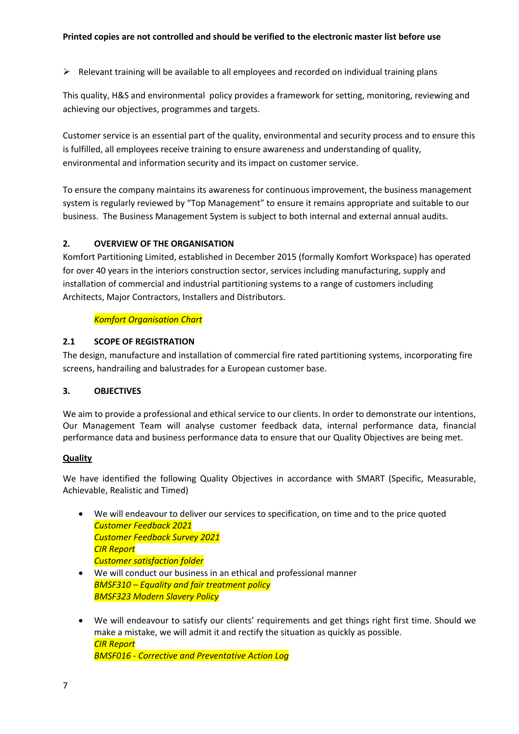$\triangleright$  Relevant training will be available to all employees and recorded on individual training plans

This quality, H&S and environmental policy provides a framework for setting, monitoring, reviewing and achieving our objectives, programmes and targets.

Customer service is an essential part of the quality, environmental and security process and to ensure this is fulfilled, all employees receive training to ensure awareness and understanding of quality, environmental and information security and its impact on customer service.

To ensure the company maintains its awareness for continuous improvement, the business management system is regularly reviewed by "Top Management" to ensure it remains appropriate and suitable to our business. The Business Management System is subject to both internal and external annual audits.

# **2. OVERVIEW OF THE ORGANISATION**

Komfort Partitioning Limited, established in December 2015 (formally Komfort Workspace) has operated for over 40 years in the interiors construction sector, services including manufacturing, supply and installation of commercial and industrial partitioning systems to a range of customers including Architects, Major Contractors, Installers and Distributors.

## *Komfort Organisation Chart*

## **2.1 SCOPE OF REGISTRATION**

The design, manufacture and installation of commercial fire rated partitioning systems, incorporating fire screens, handrailing and balustrades for a European customer base.

## **3. OBJECTIVES**

We aim to provide a professional and ethical service to our clients. In order to demonstrate our intentions, Our Management Team will analyse customer feedback data, internal performance data, financial performance data and business performance data to ensure that our Quality Objectives are being met.

## **Quality**

We have identified the following Quality Objectives in accordance with SMART (Specific, Measurable, Achievable, Realistic and Timed)

- We will endeavour to deliver our services to specification, on time and to the price quoted *Customer Feedback 2021 Customer Feedback Survey 2021 CIR Report Customer satisfaction folder*
- We will conduct our business in an ethical and professional manner *BMSF310 – Equality and fair treatment policy BMSF323 Modern Slavery Policy*
- We will endeavour to satisfy our clients' requirements and get things right first time. Should we make a mistake, we will admit it and rectify the situation as quickly as possible. *CIR Report BMSF016 - Corrective and Preventative Action Log*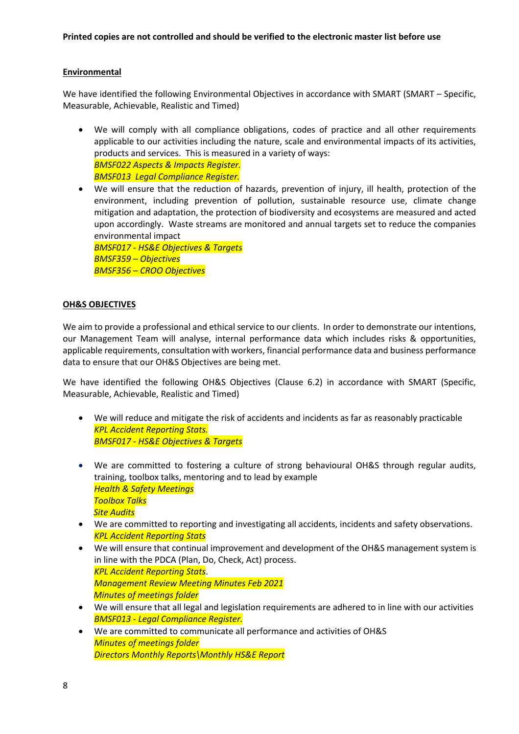## **Environmental**

We have identified the following Environmental Objectives in accordance with SMART (SMART – Specific, Measurable, Achievable, Realistic and Timed)

- We will comply with all compliance obligations, codes of practice and all other requirements applicable to our activities including the nature, scale and environmental impacts of its activities, products and services. This is measured in a variety of ways: *BMSF022 Aspects & Impacts Register. BMSF013 Legal Compliance Register.*
- We will ensure that the reduction of hazards, prevention of injury, ill health, protection of the environment, including prevention of pollution, sustainable resource use, climate change mitigation and adaptation, the protection of biodiversity and ecosystems are measured and acted upon accordingly. Waste streams are monitored and annual targets set to reduce the companies environmental impact *BMSF017 - HS&E Objectives & Targets*

*BMSF359 – Objectives BMSF356 – CROO Objectives*

## **OH&S OBJECTIVES**

We aim to provide a professional and ethical service to our clients. In order to demonstrate our intentions, our Management Team will analyse, internal performance data which includes risks & opportunities, applicable requirements, consultation with workers, financial performance data and business performance data to ensure that our OH&S Objectives are being met.

We have identified the following OH&S Objectives (Clause 6.2) in accordance with SMART (Specific, Measurable, Achievable, Realistic and Timed)

- We will reduce and mitigate the risk of accidents and incidents as far as reasonably practicable *KPL Accident Reporting Stats. BMSF017 - HS&E Objectives & Targets*
- We are committed to fostering a culture of strong behavioural OH&S through regular audits, training, toolbox talks, mentoring and to lead by example *Health & Safety Meetings Toolbox Talks Site Audits*
- We are committed to reporting and investigating all accidents, incidents and safety observations. *KPL Accident Reporting Stats*
- We will ensure that continual improvement and development of the OH&S management system is in line with the PDCA (Plan, Do, Check, Act) process. *KPL Accident Reporting Stats*. *Management Review Meeting Minutes Feb 2021 Minutes of meetings folder*
- We will ensure that all legal and legislation requirements are adhered to in line with our activities *BMSF013 - Legal Compliance Register.*
- We are committed to communicate all performance and activities of OH&S *Minutes of meetings folder Directors Monthly Reports\Monthly HS&E Report*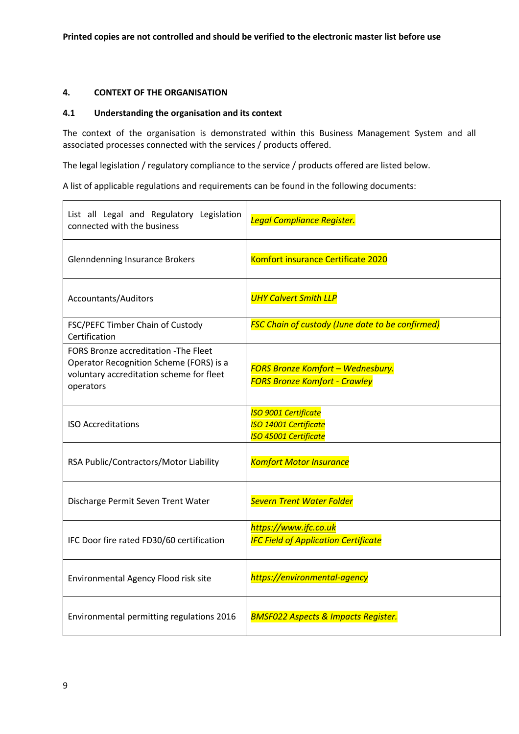## **4. CONTEXT OF THE ORGANISATION**

#### **4.1 Understanding the organisation and its context**

The context of the organisation is demonstrated within this Business Management System and all associated processes connected with the services / products offered.

The legal legislation / regulatory compliance to the service / products offered are listed below.

A list of applicable regulations and requirements can be found in the following documents:

| List all Legal and Regulatory Legislation<br>connected with the business                                                                  | Legal Compliance Register.                                                                  |
|-------------------------------------------------------------------------------------------------------------------------------------------|---------------------------------------------------------------------------------------------|
| <b>Glenndenning Insurance Brokers</b>                                                                                                     | Komfort insurance Certificate 2020                                                          |
| Accountants/Auditors                                                                                                                      | <b>UHY Calvert Smith LLP</b>                                                                |
| FSC/PEFC Timber Chain of Custody<br>Certification                                                                                         | <b>FSC Chain of custody (June date to be confirmed)</b>                                     |
| FORS Bronze accreditation - The Fleet<br>Operator Recognition Scheme (FORS) is a<br>voluntary accreditation scheme for fleet<br>operators | <b>FORS Bronze Komfort - Wednesbury.</b><br><b>FORS Bronze Komfort - Crawley</b>            |
| <b>ISO Accreditations</b>                                                                                                                 | <b>ISO 9001 Certificate</b><br><b>ISO 14001 Certificate</b><br><b>ISO 45001 Certificate</b> |
| RSA Public/Contractors/Motor Liability                                                                                                    | <b>Komfort Motor Insurance</b>                                                              |
| Discharge Permit Seven Trent Water                                                                                                        | <b>Severn Trent Water Folder</b>                                                            |
| IFC Door fire rated FD30/60 certification                                                                                                 | https://www.ifc.co.uk<br><b>IFC Field of Application Certificate</b>                        |
| Environmental Agency Flood risk site                                                                                                      | https://environmental-agency                                                                |
| Environmental permitting regulations 2016                                                                                                 | <b>BMSF022 Aspects &amp; Impacts Register.</b>                                              |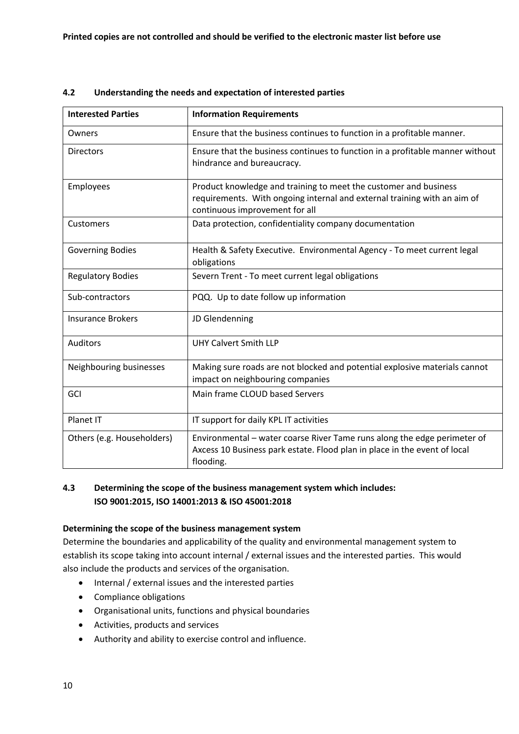| <b>Interested Parties</b>  | <b>Information Requirements</b>                                                                                                                                                |
|----------------------------|--------------------------------------------------------------------------------------------------------------------------------------------------------------------------------|
| Owners                     | Ensure that the business continues to function in a profitable manner.                                                                                                         |
| <b>Directors</b>           | Ensure that the business continues to function in a profitable manner without<br>hindrance and bureaucracy.                                                                    |
| Employees                  | Product knowledge and training to meet the customer and business<br>requirements. With ongoing internal and external training with an aim of<br>continuous improvement for all |
| Customers                  | Data protection, confidentiality company documentation                                                                                                                         |
| <b>Governing Bodies</b>    | Health & Safety Executive. Environmental Agency - To meet current legal<br>obligations                                                                                         |
| <b>Regulatory Bodies</b>   | Severn Trent - To meet current legal obligations                                                                                                                               |
| Sub-contractors            | PQQ. Up to date follow up information                                                                                                                                          |
| <b>Insurance Brokers</b>   | JD Glendenning                                                                                                                                                                 |
| <b>Auditors</b>            | <b>UHY Calvert Smith LLP</b>                                                                                                                                                   |
| Neighbouring businesses    | Making sure roads are not blocked and potential explosive materials cannot<br>impact on neighbouring companies                                                                 |
| GCI                        | Main frame CLOUD based Servers                                                                                                                                                 |
| Planet IT                  | IT support for daily KPL IT activities                                                                                                                                         |
| Others (e.g. Householders) | Environmental - water coarse River Tame runs along the edge perimeter of<br>Axcess 10 Business park estate. Flood plan in place in the event of local<br>flooding.             |

# **4.2 Understanding the needs and expectation of interested parties**

## **4.3 Determining the scope of the business management system which includes: ISO 9001:2015, ISO 14001:2013 & ISO 45001:2018**

## **Determining the scope of the business management system**

Determine the boundaries and applicability of the quality and environmental management system to establish its scope taking into account internal / external issues and the interested parties. This would also include the products and services of the organisation.

- Internal / external issues and the interested parties
- Compliance obligations
- Organisational units, functions and physical boundaries
- Activities, products and services
- Authority and ability to exercise control and influence.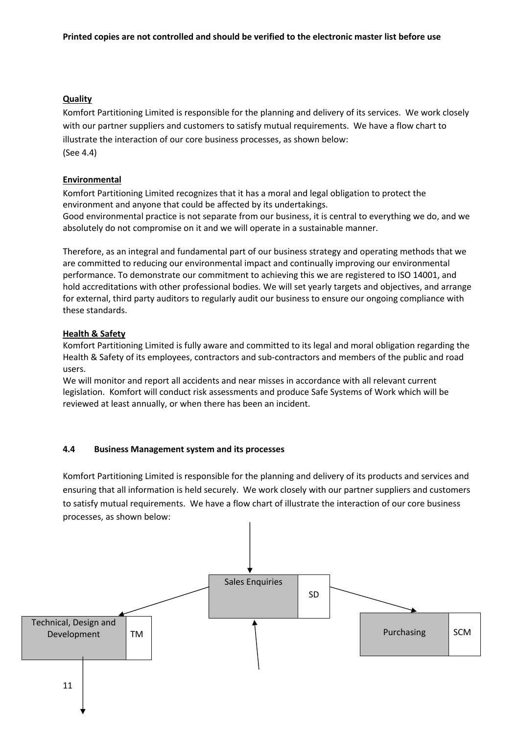## **Quality**

Komfort Partitioning Limited is responsible for the planning and delivery of its services. We work closely with our partner suppliers and customers to satisfy mutual requirements. We have a flow chart to illustrate the interaction of our core business processes, as shown below: (See 4.4)

## **Environmental**

Komfort Partitioning Limited recognizes that it has a moral and legal obligation to protect the environment and anyone that could be affected by its undertakings.

Good environmental practice is not separate from our business, it is central to everything we do, and we absolutely do not compromise on it and we will operate in a sustainable manner.

Therefore, as an integral and fundamental part of our business strategy and operating methods that we are committed to reducing our environmental impact and continually improving our environmental performance. To demonstrate our commitment to achieving this we are registered to ISO 14001, and hold accreditations with other professional bodies. We will set yearly targets and objectives, and arrange for external, third party auditors to regularly audit our business to ensure our ongoing compliance with these standards.

## **Health & Safety**

Komfort Partitioning Limited is fully aware and committed to its legal and moral obligation regarding the Health & Safety of its employees, contractors and sub-contractors and members of the public and road users.

We will monitor and report all accidents and near misses in accordance with all relevant current legislation. Komfort will conduct risk assessments and produce Safe Systems of Work which will be reviewed at least annually, or when there has been an incident.

#### **4.4 Business Management system and its processes**

Komfort Partitioning Limited is responsible for the planning and delivery of its products and services and ensuring that all information is held securely. We work closely with our partner suppliers and customers to satisfy mutual requirements. We have a flow chart of illustrate the interaction of our core business processes, as shown below:

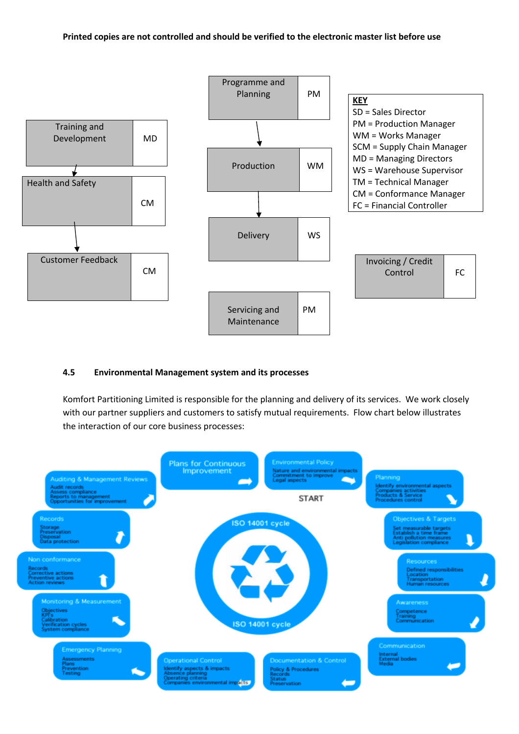#### **Printed copies are not controlled and should be verified to the electronic master list before use**



#### **4.5 Environmental Management system and its processes**

Komfort Partitioning Limited is responsible for the planning and delivery of its services. We work closely with our partner suppliers and customers to satisfy mutual requirements. Flow chart below illustrates the interaction of our core business processes:

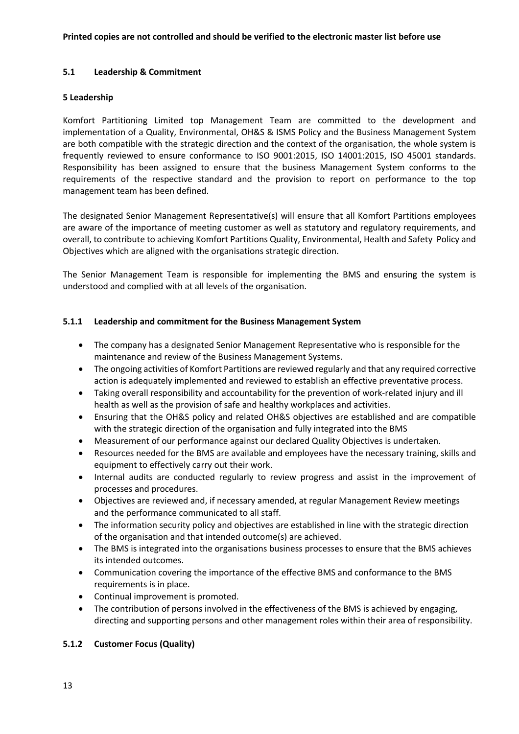#### **5.1 Leadership & Commitment**

#### **5 Leadership**

Komfort Partitioning Limited top Management Team are committed to the development and implementation of a Quality, Environmental, OH&S & ISMS Policy and the Business Management System are both compatible with the strategic direction and the context of the organisation, the whole system is frequently reviewed to ensure conformance to ISO 9001:2015, ISO 14001:2015, ISO 45001 standards. Responsibility has been assigned to ensure that the business Management System conforms to the requirements of the respective standard and the provision to report on performance to the top management team has been defined.

The designated Senior Management Representative(s) will ensure that all Komfort Partitions employees are aware of the importance of meeting customer as well as statutory and regulatory requirements, and overall, to contribute to achieving Komfort Partitions Quality, Environmental, Health and Safety Policy and Objectives which are aligned with the organisations strategic direction.

The Senior Management Team is responsible for implementing the BMS and ensuring the system is understood and complied with at all levels of the organisation.

## **5.1.1 Leadership and commitment for the Business Management System**

- The company has a designated Senior Management Representative who is responsible for the maintenance and review of the Business Management Systems.
- The ongoing activities of Komfort Partitions are reviewed regularly and that any required corrective action is adequately implemented and reviewed to establish an effective preventative process.
- Taking overall responsibility and accountability for the prevention of work-related injury and ill health as well as the provision of safe and healthy workplaces and activities.
- Ensuring that the OH&S policy and related OH&S objectives are established and are compatible with the strategic direction of the organisation and fully integrated into the BMS
- Measurement of our performance against our declared Quality Objectives is undertaken.
- Resources needed for the BMS are available and employees have the necessary training, skills and equipment to effectively carry out their work.
- Internal audits are conducted regularly to review progress and assist in the improvement of processes and procedures.
- Objectives are reviewed and, if necessary amended, at regular Management Review meetings and the performance communicated to all staff.
- The information security policy and objectives are established in line with the strategic direction of the organisation and that intended outcome(s) are achieved.
- The BMS is integrated into the organisations business processes to ensure that the BMS achieves its intended outcomes.
- Communication covering the importance of the effective BMS and conformance to the BMS requirements is in place.
- Continual improvement is promoted.
- The contribution of persons involved in the effectiveness of the BMS is achieved by engaging, directing and supporting persons and other management roles within their area of responsibility.

#### **5.1.2 Customer Focus (Quality)**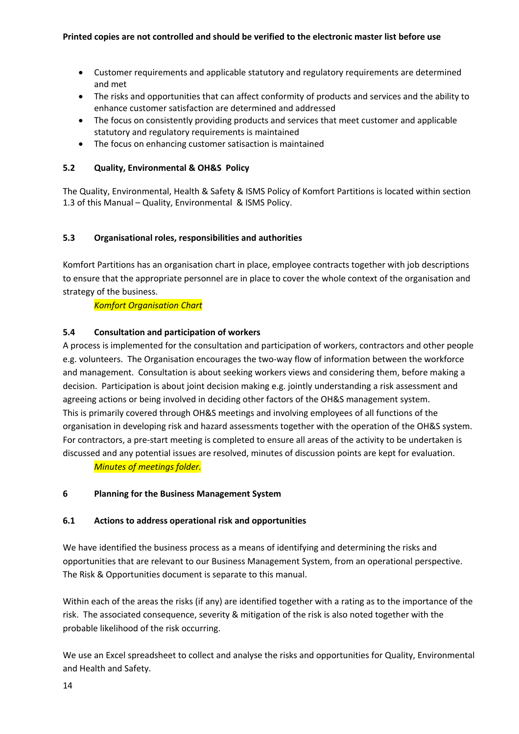- Customer requirements and applicable statutory and regulatory requirements are determined and met
- The risks and opportunities that can affect conformity of products and services and the ability to enhance customer satisfaction are determined and addressed
- The focus on consistently providing products and services that meet customer and applicable statutory and regulatory requirements is maintained
- The focus on enhancing customer satisaction is maintained

## **5.2 Quality, Environmental & OH&S Policy**

The Quality, Environmental, Health & Safety & ISMS Policy of Komfort Partitions is located within section 1.3 of this Manual – Quality, Environmental & ISMS Policy.

# **5.3 Organisational roles, responsibilities and authorities**

Komfort Partitions has an organisation chart in place, employee contracts together with job descriptions to ensure that the appropriate personnel are in place to cover the whole context of the organisation and strategy of the business.

*Komfort Organisation Chart*

# **5.4 Consultation and participation of workers**

A process is implemented for the consultation and participation of workers, contractors and other people e.g. volunteers. The Organisation encourages the two-way flow of information between the workforce and management. Consultation is about seeking workers views and considering them, before making a decision. Participation is about joint decision making e.g. jointly understanding a risk assessment and agreeing actions or being involved in deciding other factors of the OH&S management system. This is primarily covered through OH&S meetings and involving employees of all functions of the organisation in developing risk and hazard assessments together with the operation of the OH&S system. For contractors, a pre-start meeting is completed to ensure all areas of the activity to be undertaken is discussed and any potential issues are resolved, minutes of discussion points are kept for evaluation.

*Minutes of meetings folder.*

## **6 Planning for the Business Management System**

## **6.1 Actions to address operational risk and opportunities**

We have identified the business process as a means of identifying and determining the risks and opportunities that are relevant to our Business Management System, from an operational perspective. The Risk & Opportunities document is separate to this manual.

Within each of the areas the risks (if any) are identified together with a rating as to the importance of the risk. The associated consequence, severity & mitigation of the risk is also noted together with the probable likelihood of the risk occurring.

We use an Excel spreadsheet to collect and analyse the risks and opportunities for Quality, Environmental and Health and Safety.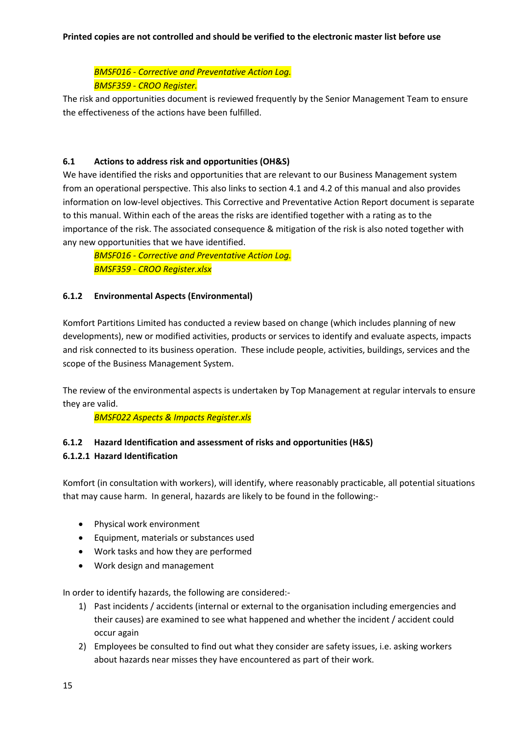*BMSF016 - Corrective and Preventative Action Log. BMSF359 - CROO Register.*

The risk and opportunities document is reviewed frequently by the Senior Management Team to ensure the effectiveness of the actions have been fulfilled.

## **6.1 Actions to address risk and opportunities (OH&S)**

We have identified the risks and opportunities that are relevant to our Business Management system from an operational perspective. This also links to section 4.1 and 4.2 of this manual and also provides information on low-level objectives. This Corrective and Preventative Action Report document is separate to this manual. Within each of the areas the risks are identified together with a rating as to the importance of the risk. The associated consequence & mitigation of the risk is also noted together with any new opportunities that we have identified.

*BMSF016 - Corrective and Preventative Action Log. BMSF359 - CROO Register.xlsx*

## **6.1.2 Environmental Aspects (Environmental)**

Komfort Partitions Limited has conducted a review based on change (which includes planning of new developments), new or modified activities, products or services to identify and evaluate aspects, impacts and risk connected to its business operation. These include people, activities, buildings, services and the scope of the Business Management System.

The review of the environmental aspects is undertaken by Top Management at regular intervals to ensure they are valid.

*BMSF022 Aspects & Impacts Register.xls*

# **6.1.2 Hazard Identification and assessment of risks and opportunities (H&S) 6.1.2.1 Hazard Identification**

Komfort (in consultation with workers), will identify, where reasonably practicable, all potential situations that may cause harm. In general, hazards are likely to be found in the following:-

- Physical work environment
- Equipment, materials or substances used
- Work tasks and how they are performed
- Work design and management

In order to identify hazards, the following are considered:-

- 1) Past incidents / accidents (internal or external to the organisation including emergencies and their causes) are examined to see what happened and whether the incident / accident could occur again
- 2) Employees be consulted to find out what they consider are safety issues, i.e. asking workers about hazards near misses they have encountered as part of their work.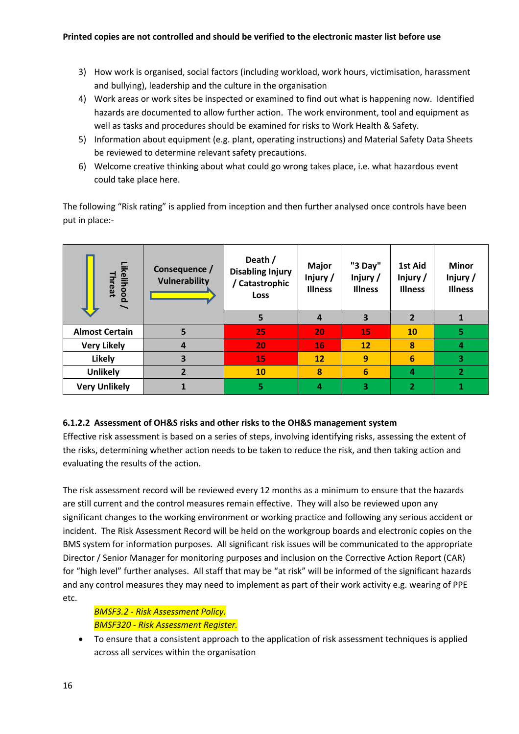- 3) How work is organised, social factors (including workload, work hours, victimisation, harassment and bullying), leadership and the culture in the organisation
- 4) Work areas or work sites be inspected or examined to find out what is happening now. Identified hazards are documented to allow further action. The work environment, tool and equipment as well as tasks and procedures should be examined for risks to Work Health & Safety.
- 5) Information about equipment (e.g. plant, operating instructions) and Material Safety Data Sheets be reviewed to determine relevant safety precautions.
- 6) Welcome creative thinking about what could go wrong takes place, i.e. what hazardous event could take place here.

The following "Risk rating" is applied from inception and then further analysed once controls have been put in place:-

| Likelihood<br>Threat                                                                                                                                                                                                                                                                                                                                                                                                                                                                                                                                                                                                                                                                                                                                                                                                                                                                                                                                                                                                                                                                                                                                                                                                                                                                                                                                                                                                                                    | Consequence /<br><b>Vulnerability</b> | Death /<br><b>Disabling Injury</b><br>/ Catastrophic<br>Loss | <b>Major</b><br>Injury/<br><b>Illness</b> | "3 Day"<br>Injury/<br><b>Illness</b> | 1st Aid<br>Injury /<br><b>Illness</b> | <b>Minor</b><br>Injury /<br><b>Illness</b> |
|---------------------------------------------------------------------------------------------------------------------------------------------------------------------------------------------------------------------------------------------------------------------------------------------------------------------------------------------------------------------------------------------------------------------------------------------------------------------------------------------------------------------------------------------------------------------------------------------------------------------------------------------------------------------------------------------------------------------------------------------------------------------------------------------------------------------------------------------------------------------------------------------------------------------------------------------------------------------------------------------------------------------------------------------------------------------------------------------------------------------------------------------------------------------------------------------------------------------------------------------------------------------------------------------------------------------------------------------------------------------------------------------------------------------------------------------------------|---------------------------------------|--------------------------------------------------------------|-------------------------------------------|--------------------------------------|---------------------------------------|--------------------------------------------|
|                                                                                                                                                                                                                                                                                                                                                                                                                                                                                                                                                                                                                                                                                                                                                                                                                                                                                                                                                                                                                                                                                                                                                                                                                                                                                                                                                                                                                                                         |                                       | 5                                                            | $\overline{\mathbf{4}}$                   | 3                                    | $\overline{2}$                        | $\mathbf{1}$                               |
| <b>Almost Certain</b>                                                                                                                                                                                                                                                                                                                                                                                                                                                                                                                                                                                                                                                                                                                                                                                                                                                                                                                                                                                                                                                                                                                                                                                                                                                                                                                                                                                                                                   | 5                                     | 25                                                           | 20                                        | 15                                   | 10                                    | 5                                          |
| <b>Very Likely</b>                                                                                                                                                                                                                                                                                                                                                                                                                                                                                                                                                                                                                                                                                                                                                                                                                                                                                                                                                                                                                                                                                                                                                                                                                                                                                                                                                                                                                                      | 4                                     | 20                                                           | 16                                        | 12                                   | 8                                     | 4                                          |
| Likely                                                                                                                                                                                                                                                                                                                                                                                                                                                                                                                                                                                                                                                                                                                                                                                                                                                                                                                                                                                                                                                                                                                                                                                                                                                                                                                                                                                                                                                  | 3                                     | 15                                                           | 12                                        | $\overline{9}$                       | $6\phantom{1}6$                       | 3                                          |
| <b>Unlikely</b>                                                                                                                                                                                                                                                                                                                                                                                                                                                                                                                                                                                                                                                                                                                                                                                                                                                                                                                                                                                                                                                                                                                                                                                                                                                                                                                                                                                                                                         | $\overline{2}$                        | 10                                                           | 8                                         | $6\phantom{1}$                       | 4                                     | $\mathbf{2}$                               |
| <b>Very Unlikely</b>                                                                                                                                                                                                                                                                                                                                                                                                                                                                                                                                                                                                                                                                                                                                                                                                                                                                                                                                                                                                                                                                                                                                                                                                                                                                                                                                                                                                                                    | $\mathbf{1}$                          | 5                                                            | $\overline{4}$                            | 3                                    | $\overline{2}$                        | $\mathbf{1}$                               |
| 6.1.2.2 Assessment of OH&S risks and other risks to the OH&S management system<br>Effective risk assessment is based on a series of steps, involving identifying risks, assessing the extent of<br>the risks, determining whether action needs to be taken to reduce the risk, and then taking action and<br>evaluating the results of the action.<br>The risk assessment record will be reviewed every 12 months as a minimum to ensure that the hazards<br>are still current and the control measures remain effective. They will also be reviewed upon any<br>significant changes to the working environment or working practice and following any serious accident or<br>incident. The Risk Assessment Record will be held on the workgroup boards and electronic copies on the<br>BMS system for information purposes. All significant risk issues will be communicated to the appropriate<br>Director / Senior Manager for monitoring purposes and inclusion on the Corrective Action Report (CAR)<br>for "high level" further analyses. All staff that may be "at risk" will be informed of the significant hazards<br>and any control measures they may need to implement as part of their work activity e.g. wearing of PPE<br>etc.<br><b>BMSF3.2 - Risk Assessment Policy.</b><br><b>BMSF320 - Risk Assessment Register.</b><br>To ensure that a consistent approach to the application of risk assessment techniques is applied<br>$\bullet$ |                                       |                                                              |                                           |                                      |                                       |                                            |

# **6.1.2.2 Assessment of OH&S risks and other risks to the OH&S management system**

# *BMSF3.2 - Risk Assessment Policy. BMSF320 - Risk Assessment Register.*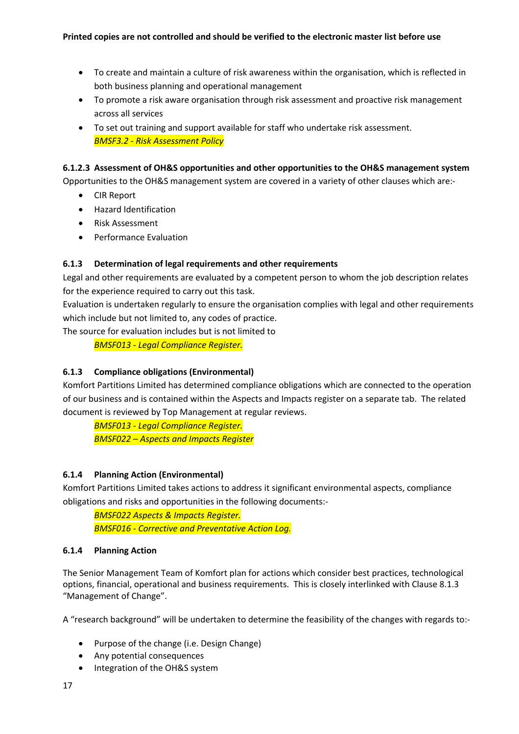- To create and maintain a culture of risk awareness within the organisation, which is reflected in both business planning and operational management
- To promote a risk aware organisation through risk assessment and proactive risk management across all services
- To set out training and support available for staff who undertake risk assessment. *BMSF3.2 - Risk Assessment Policy*

## **6.1.2.3 Assessment of OH&S opportunities and other opportunities to the OH&S management system**

Opportunities to the OH&S management system are covered in a variety of other clauses which are:-

- CIR Report
- Hazard Identification
- Risk Assessment
- Performance Evaluation

# **6.1.3 Determination of legal requirements and other requirements**

Legal and other requirements are evaluated by a competent person to whom the job description relates for the experience required to carry out this task.

Evaluation is undertaken regularly to ensure the organisation complies with legal and other requirements which include but not limited to, any codes of practice.

The source for evaluation includes but is not limited to

*BMSF013 - Legal Compliance Register.*

# **6.1.3 Compliance obligations (Environmental)**

Komfort Partitions Limited has determined compliance obligations which are connected to the operation of our business and is contained within the Aspects and Impacts register on a separate tab. The related document is reviewed by Top Management at regular reviews.

*BMSF013 - Legal Compliance Register. BMSF022 – Aspects and Impacts Register*

## **6.1.4 Planning Action (Environmental)**

Komfort Partitions Limited takes actions to address it significant environmental aspects, compliance obligations and risks and opportunities in the following documents:-

*BMSF022 Aspects & Impacts Register. BMSF016 - Corrective and Preventative Action Log.*

## **6.1.4 Planning Action**

The Senior Management Team of Komfort plan for actions which consider best practices, technological options, financial, operational and business requirements. This is closely interlinked with Clause 8.1.3 "Management of Change".

A "research background" will be undertaken to determine the feasibility of the changes with regards to:-

- Purpose of the change (i.e. Design Change)
- Any potential consequences
- Integration of the OH&S system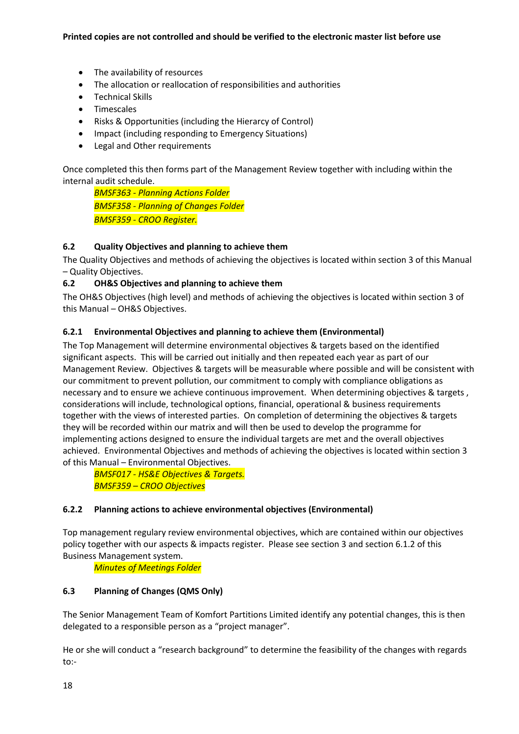- The availability of resources
- The allocation or reallocation of responsibilities and authorities
- Technical Skills
- Timescales
- Risks & Opportunities (including the Hierarcy of Control)
- Impact (including responding to Emergency Situations)
- Legal and Other requirements

Once completed this then forms part of the Management Review together with including within the internal audit schedule.

*BMSF363 - Planning Actions Folder BMSF358 - Planning of Changes Folder BMSF359 - CROO Register.*

## **6.2 Quality Objectives and planning to achieve them**

The Quality Objectives and methods of achieving the objectives is located within section 3 of this Manual – Quality Objectives.

## **6.2 OH&S Objectives and planning to achieve them**

The OH&S Objectives (high level) and methods of achieving the objectives is located within section 3 of this Manual – OH&S Objectives.

## **6.2.1 Environmental Objectives and planning to achieve them (Environmental)**

The Top Management will determine environmental objectives & targets based on the identified significant aspects. This will be carried out initially and then repeated each year as part of our Management Review. Objectives & targets will be measurable where possible and will be consistent with our commitment to prevent pollution, our commitment to comply with compliance obligations as necessary and to ensure we achieve continuous improvement. When determining objectives & targets , considerations will include, technological options, financial, operational & business requirements together with the views of interested parties. On completion of determining the objectives & targets they will be recorded within our matrix and will then be used to develop the programme for implementing actions designed to ensure the individual targets are met and the overall objectives achieved. Environmental Objectives and methods of achieving the objectives is located within section 3 of this Manual – Environmental Objectives.

*BMSF017 - HS&E Objectives & Targets. BMSF359 – CROO Objectives*

## **6.2.2 Planning actions to achieve environmental objectives (Environmental)**

Top management regulary review environmental objectives, which are contained within our objectives policy together with our aspects & impacts register. Please see section 3 and section 6.1.2 of this Business Management system.

*Minutes of Meetings Folder*

## **6.3 Planning of Changes (QMS Only)**

The Senior Management Team of Komfort Partitions Limited identify any potential changes, this is then delegated to a responsible person as a "project manager".

He or she will conduct a "research background" to determine the feasibility of the changes with regards to:-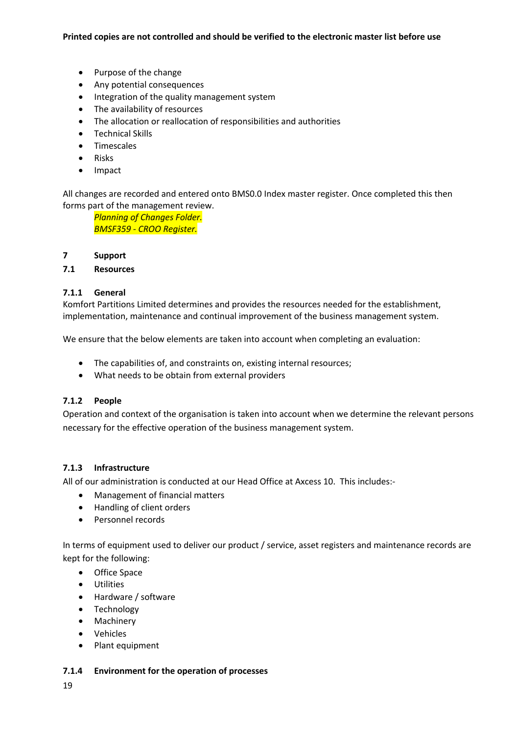- Purpose of the change
- Any potential consequences
- Integration of the quality management system
- The availability of resources
- The allocation or reallocation of responsibilities and authorities
- Technical Skills
- Timescales
- Risks
- Impact

All changes are recorded and entered onto BMS0.0 Index master register. Once completed this then forms part of the management review.

*Planning of Changes Folder. BMSF359 - CROO Register.*

#### **7 Support**

## **7.1 Resources**

## **7.1.1 General**

Komfort Partitions Limited determines and provides the resources needed for the establishment, implementation, maintenance and continual improvement of the business management system.

We ensure that the below elements are taken into account when completing an evaluation:

- The capabilities of, and constraints on, existing internal resources;
- What needs to be obtain from external providers

#### **7.1.2 People**

Operation and context of the organisation is taken into account when we determine the relevant persons necessary for the effective operation of the business management system.

#### **7.1.3 Infrastructure**

All of our administration is conducted at our Head Office at Axcess 10. This includes:-

- Management of financial matters
- Handling of client orders
- Personnel records

In terms of equipment used to deliver our product / service, asset registers and maintenance records are kept for the following:

- Office Space
- Utilities
- Hardware / software
- Technology
- Machinery
- Vehicles
- Plant equipment

#### **7.1.4 Environment for the operation of processes**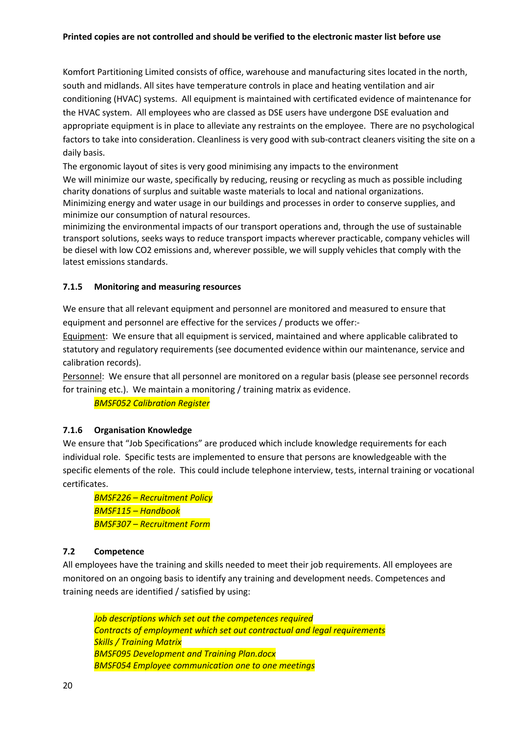#### **Printed copies are not controlled and should be verified to the electronic master list before use**

Komfort Partitioning Limited consists of office, warehouse and manufacturing sites located in the north, south and midlands. All sites have temperature controls in place and heating ventilation and air conditioning (HVAC) systems. All equipment is maintained with certificated evidence of maintenance for the HVAC system. All employees who are classed as DSE users have undergone DSE evaluation and appropriate equipment is in place to alleviate any restraints on the employee. There are no psychological factors to take into consideration. Cleanliness is very good with sub-contract cleaners visiting the site on a daily basis.

The ergonomic layout of sites is very good minimising any impacts to the environment We will minimize our waste, specifically by reducing, reusing or recycling as much as possible including charity donations of surplus and suitable waste materials to local and national organizations. Minimizing energy and water usage in our buildings and processes in order to conserve supplies, and minimize our consumption of natural resources.

minimizing the environmental impacts of our transport operations and, through the use of sustainable transport solutions, seeks ways to reduce transport impacts wherever practicable, company vehicles will be diesel with low CO2 emissions and, wherever possible, we will supply vehicles that comply with the latest emissions standards.

## **7.1.5 Monitoring and measuring resources**

We ensure that all relevant equipment and personnel are monitored and measured to ensure that equipment and personnel are effective for the services / products we offer:-

Equipment: We ensure that all equipment is serviced, maintained and where applicable calibrated to statutory and regulatory requirements (see documented evidence within our maintenance, service and calibration records).

Personnel: We ensure that all personnel are monitored on a regular basis (please see personnel records for training etc.). We maintain a monitoring / training matrix as evidence.

*BMSF052 Calibration Register* 

## **7.1.6 Organisation Knowledge**

We ensure that "Job Specifications" are produced which include knowledge requirements for each individual role. Specific tests are implemented to ensure that persons are knowledgeable with the specific elements of the role. This could include telephone interview, tests, internal training or vocational certificates.

*BMSF226 – Recruitment Policy BMSF115 – Handbook BMSF307 – Recruitment Form*

## **7.2 Competence**

All employees have the training and skills needed to meet their job requirements. All employees are monitored on an ongoing basis to identify any training and development needs. Competences and training needs are identified / satisfied by using:

*Job descriptions which set out the competences required Contracts of employment which set out contractual and legal requirements Skills / Training Matrix BMSF095 Development and Training Plan.docx BMSF054 Employee communication one to one meetings*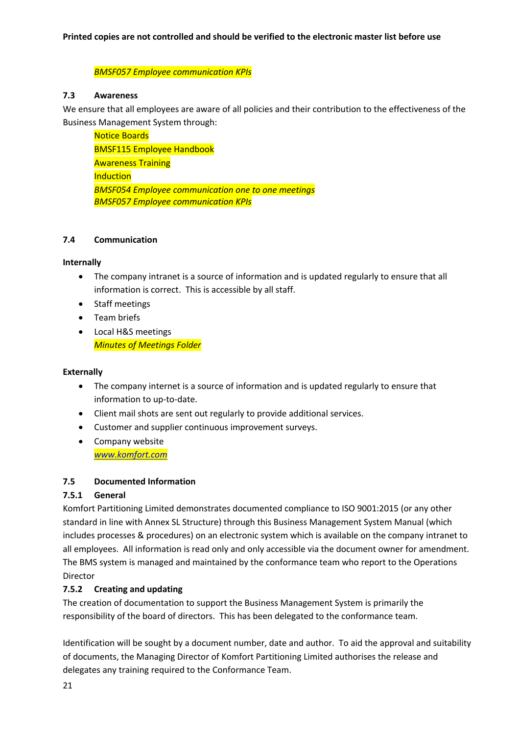*BMSF057 Employee communication KPIs*

## **7.3 Awareness**

We ensure that all employees are aware of all policies and their contribution to the effectiveness of the Business Management System through:

Notice Boards BMSF115 Employee Handbook Awareness Training **Induction** *BMSF054 Employee communication one to one meetings BMSF057 Employee communication KPIs*

#### **7.4 Communication**

#### **Internally**

- The company intranet is a source of information and is updated regularly to ensure that all information is correct. This is accessible by all staff.
- Staff meetings
- Team briefs
- Local H&S meetings *Minutes of Meetings Folder*

#### **Externally**

- The company internet is a source of information and is updated regularly to ensure that information to up-to-date.
- Client mail shots are sent out regularly to provide additional services.
- Customer and supplier continuous improvement surveys.
- Company website *www.komfort.com*

## **7.5 Documented Information**

## **7.5.1 General**

Komfort Partitioning Limited demonstrates documented compliance to ISO 9001:2015 (or any other standard in line with Annex SL Structure) through this Business Management System Manual (which includes processes & procedures) on an electronic system which is available on the company intranet to all employees. All information is read only and only accessible via the document owner for amendment. The BMS system is managed and maintained by the conformance team who report to the Operations Director

## **7.5.2 Creating and updating**

The creation of documentation to support the Business Management System is primarily the responsibility of the board of directors. This has been delegated to the conformance team.

Identification will be sought by a document number, date and author. To aid the approval and suitability of documents, the Managing Director of Komfort Partitioning Limited authorises the release and delegates any training required to the Conformance Team.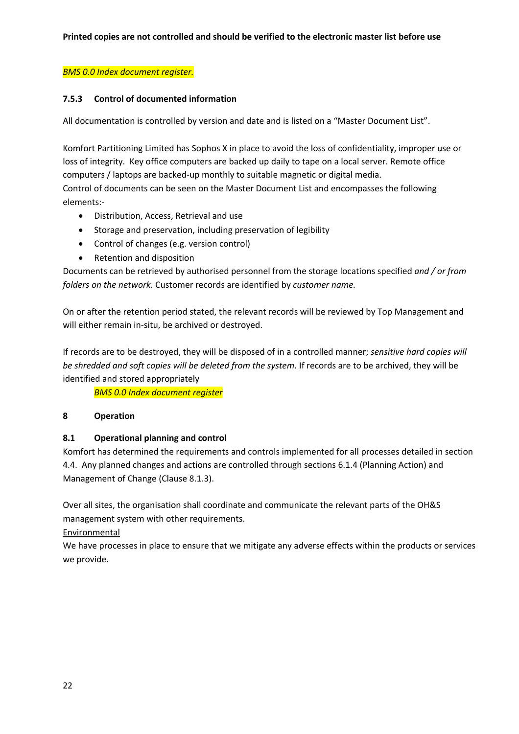## *BMS 0.0 Index document register.*

## **7.5.3 Control of documented information**

All documentation is controlled by version and date and is listed on a "Master Document List".

Komfort Partitioning Limited has Sophos X in place to avoid the loss of confidentiality, improper use or loss of integrity. Key office computers are backed up daily to tape on a local server. Remote office computers / laptops are backed-up monthly to suitable magnetic or digital media.

Control of documents can be seen on the Master Document List and encompasses the following elements:-

- Distribution, Access, Retrieval and use
- Storage and preservation, including preservation of legibility
- Control of changes (e.g. version control)
- Retention and disposition

Documents can be retrieved by authorised personnel from the storage locations specified *and / or from folders on the network*. Customer records are identified by *customer name.*

On or after the retention period stated, the relevant records will be reviewed by Top Management and will either remain in-situ, be archived or destroyed.

If records are to be destroyed, they will be disposed of in a controlled manner; *sensitive hard copies will be shredded and soft copies will be deleted from the system*. If records are to be archived, they will be identified and stored appropriately

*BMS 0.0 Index document register*

## **8 Operation**

## **8.1 Operational planning and control**

Komfort has determined the requirements and controls implemented for all processes detailed in section 4.4. Any planned changes and actions are controlled through sections 6.1.4 (Planning Action) and Management of Change (Clause 8.1.3).

Over all sites, the organisation shall coordinate and communicate the relevant parts of the OH&S management system with other requirements.

Environmental

We have processes in place to ensure that we mitigate any adverse effects within the products or services we provide.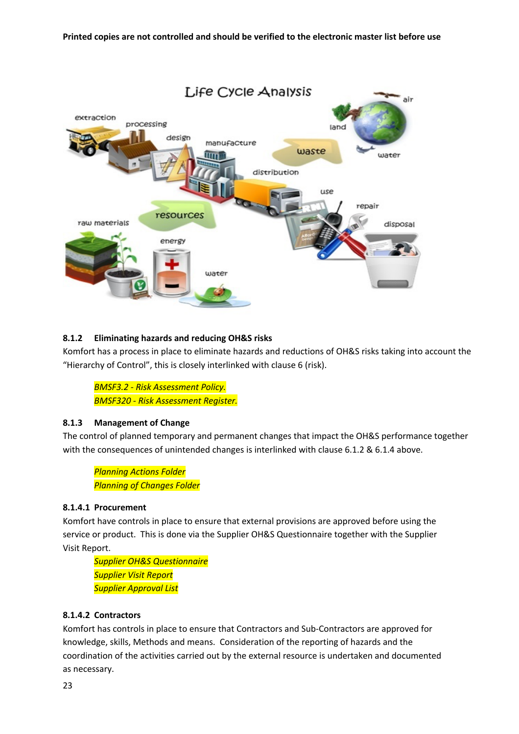

## **8.1.2 Eliminating hazards and reducing OH&S risks**

Komfort has a process in place to eliminate hazards and reductions of OH&S risks taking into account the "Hierarchy of Control", this is closely interlinked with clause 6 (risk).

*BMSF3.2 - Risk Assessment Policy. BMSF320 - Risk Assessment Register.*

#### **8.1.3 Management of Change**

The control of planned temporary and permanent changes that impact the OH&S performance together with the consequences of unintended changes is interlinked with clause 6.1.2 & 6.1.4 above.

*Planning Actions Folder Planning of Changes Folder*

#### **8.1.4.1 Procurement**

Komfort have controls in place to ensure that external provisions are approved before using the service or product. This is done via the Supplier OH&S Questionnaire together with the Supplier Visit Report.

*Supplier OH&S Questionnaire Supplier Visit Report Supplier Approval List*

## **8.1.4.2 Contractors**

Komfort has controls in place to ensure that Contractors and Sub-Contractors are approved for knowledge, skills, Methods and means. Consideration of the reporting of hazards and the coordination of the activities carried out by the external resource is undertaken and documented as necessary.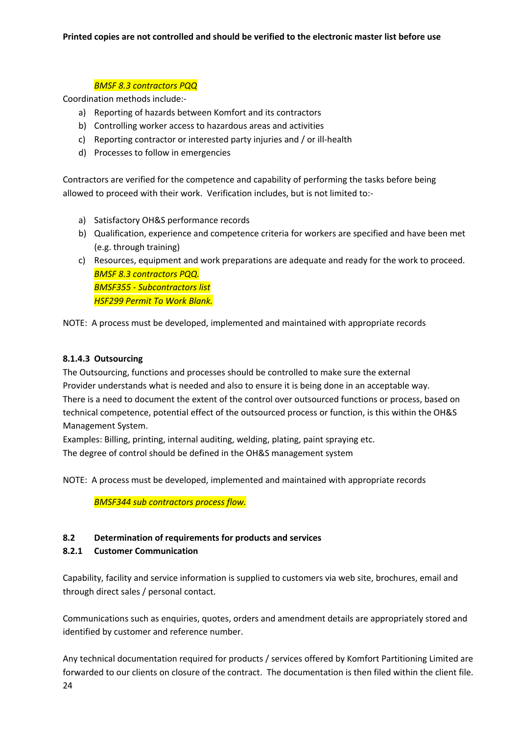## *BMSF 8.3 contractors PQQ*

Coordination methods include:-

- a) Reporting of hazards between Komfort and its contractors
- b) Controlling worker access to hazardous areas and activities
- c) Reporting contractor or interested party injuries and / or ill-health
- d) Processes to follow in emergencies

Contractors are verified for the competence and capability of performing the tasks before being allowed to proceed with their work. Verification includes, but is not limited to:-

- a) Satisfactory OH&S performance records
- b) Qualification, experience and competence criteria for workers are specified and have been met (e.g. through training)
- c) Resources, equipment and work preparations are adequate and ready for the work to proceed. *BMSF 8.3 contractors PQQ. BMSF355 - Subcontractors list HSF299 Permit To Work Blank.*

NOTE: A process must be developed, implemented and maintained with appropriate records

## **8.1.4.3 Outsourcing**

The Outsourcing, functions and processes should be controlled to make sure the external Provider understands what is needed and also to ensure it is being done in an acceptable way. There is a need to document the extent of the control over outsourced functions or process, based on technical competence, potential effect of the outsourced process or function, is this within the OH&S Management System.

Examples: Billing, printing, internal auditing, welding, plating, paint spraying etc. The degree of control should be defined in the OH&S management system

NOTE: A process must be developed, implemented and maintained with appropriate records

*BMSF344 sub contractors process flow.*

## **8.2 Determination of requirements for products and services**

## **8.2.1 Customer Communication**

Capability, facility and service information is supplied to customers via web site, brochures, email and through direct sales / personal contact.

Communications such as enquiries, quotes, orders and amendment details are appropriately stored and identified by customer and reference number.

Any technical documentation required for products / services offered by Komfort Partitioning Limited are forwarded to our clients on closure of the contract. The documentation is then filed within the client file.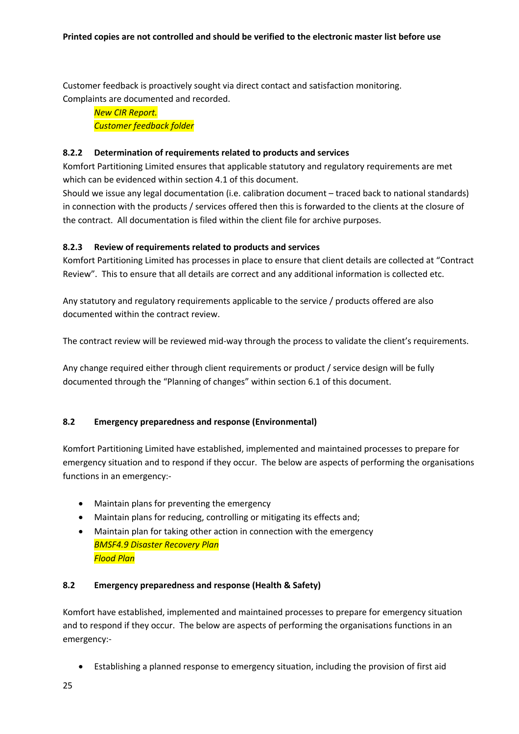Customer feedback is proactively sought via direct contact and satisfaction monitoring. Complaints are documented and recorded.

*New CIR Report. Customer feedback folder*

## **8.2.2 Determination of requirements related to products and services**

Komfort Partitioning Limited ensures that applicable statutory and regulatory requirements are met which can be evidenced within section 4.1 of this document.

Should we issue any legal documentation (i.e. calibration document – traced back to national standards) in connection with the products / services offered then this is forwarded to the clients at the closure of the contract. All documentation is filed within the client file for archive purposes.

## **8.2.3 Review of requirements related to products and services**

Komfort Partitioning Limited has processes in place to ensure that client details are collected at "Contract Review". This to ensure that all details are correct and any additional information is collected etc.

Any statutory and regulatory requirements applicable to the service / products offered are also documented within the contract review.

The contract review will be reviewed mid-way through the process to validate the client's requirements.

Any change required either through client requirements or product / service design will be fully documented through the "Planning of changes" within section 6.1 of this document.

## **8.2 Emergency preparedness and response (Environmental)**

Komfort Partitioning Limited have established, implemented and maintained processes to prepare for emergency situation and to respond if they occur. The below are aspects of performing the organisations functions in an emergency:-

- Maintain plans for preventing the emergency
- Maintain plans for reducing, controlling or mitigating its effects and;
- Maintain plan for taking other action in connection with the emergency *BMSF4.9 Disaster Recovery Plan Flood Plan*

#### **8.2 Emergency preparedness and response (Health & Safety)**

Komfort have established, implemented and maintained processes to prepare for emergency situation and to respond if they occur. The below are aspects of performing the organisations functions in an emergency:-

• Establishing a planned response to emergency situation, including the provision of first aid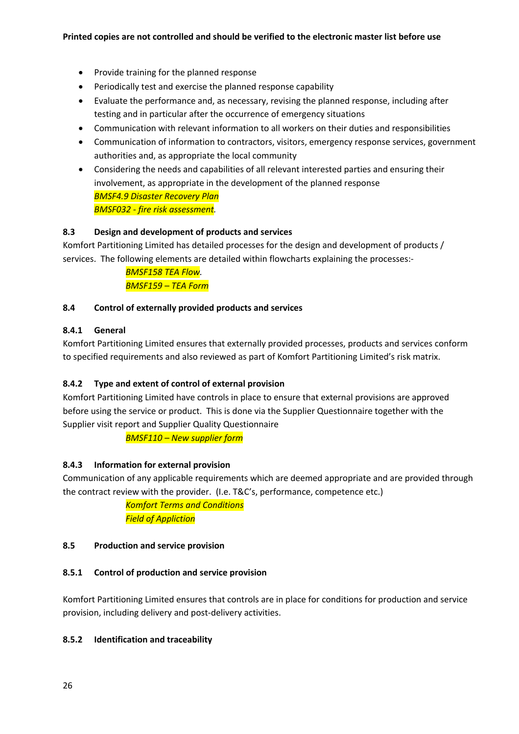- Provide training for the planned response
- Periodically test and exercise the planned response capability
- Evaluate the performance and, as necessary, revising the planned response, including after testing and in particular after the occurrence of emergency situations
- Communication with relevant information to all workers on their duties and responsibilities
- Communication of information to contractors, visitors, emergency response services, government authorities and, as appropriate the local community
- Considering the needs and capabilities of all relevant interested parties and ensuring their involvement, as appropriate in the development of the planned response *BMSF4.9 Disaster Recovery Plan BMSF032 - fire risk assessment.*

## **8.3 Design and development of products and services**

Komfort Partitioning Limited has detailed processes for the design and development of products / services. The following elements are detailed within flowcharts explaining the processes:-

> *BMSF158 TEA Flow. BMSF159 – TEA Form*

## **8.4 Control of externally provided products and services**

## **8.4.1 General**

Komfort Partitioning Limited ensures that externally provided processes, products and services conform to specified requirements and also reviewed as part of Komfort Partitioning Limited's risk matrix.

## **8.4.2 Type and extent of control of external provision**

Komfort Partitioning Limited have controls in place to ensure that external provisions are approved before using the service or product. This is done via the Supplier Questionnaire together with the Supplier visit report and Supplier Quality Questionnaire

*BMSF110 – New supplier form*

## **8.4.3 Information for external provision**

Communication of any applicable requirements which are deemed appropriate and are provided through the contract review with the provider. (I.e. T&C's, performance, competence etc.)

> *Komfort Terms and Conditions Field of Appliction*

#### **8.5 Production and service provision**

#### **8.5.1 Control of production and service provision**

Komfort Partitioning Limited ensures that controls are in place for conditions for production and service provision, including delivery and post-delivery activities.

#### **8.5.2 Identification and traceability**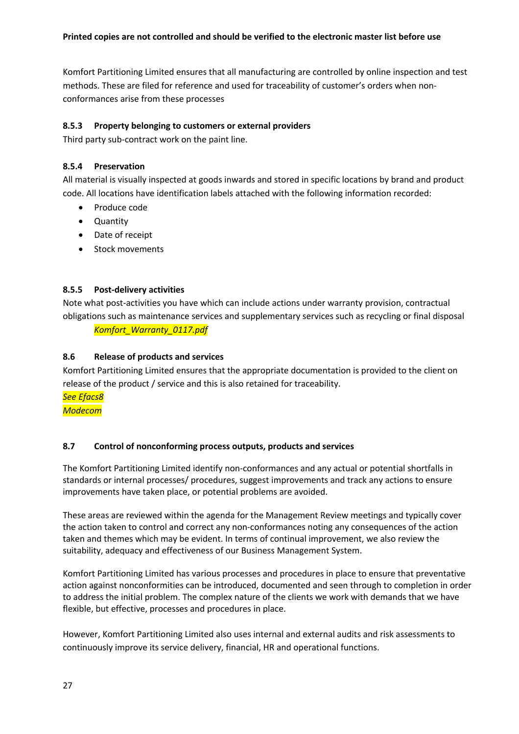Komfort Partitioning Limited ensures that all manufacturing are controlled by online inspection and test methods. These are filed for reference and used for traceability of customer's orders when nonconformances arise from these processes

## **8.5.3 Property belonging to customers or external providers**

Third party sub-contract work on the paint line.

## **8.5.4 Preservation**

All material is visually inspected at goods inwards and stored in specific locations by brand and product code. All locations have identification labels attached with the following information recorded:

- Produce code
- Quantity
- Date of receipt
- Stock movements

## **8.5.5 Post-delivery activities**

Note what post-activities you have which can include actions under warranty provision, contractual obligations such as maintenance services and supplementary services such as recycling or final disposal

*Komfort\_Warranty\_0117.pdf*

## **8.6 Release of products and services**

Komfort Partitioning Limited ensures that the appropriate documentation is provided to the client on release of the product / service and this is also retained for traceability.

*See Efacs8*

*Modecom*

## **8.7 Control of nonconforming process outputs, products and services**

The Komfort Partitioning Limited identify non-conformances and any actual or potential shortfalls in standards or internal processes/ procedures, suggest improvements and track any actions to ensure improvements have taken place, or potential problems are avoided.

These areas are reviewed within the agenda for the Management Review meetings and typically cover the action taken to control and correct any non-conformances noting any consequences of the action taken and themes which may be evident. In terms of continual improvement, we also review the suitability, adequacy and effectiveness of our Business Management System.

Komfort Partitioning Limited has various processes and procedures in place to ensure that preventative action against nonconformities can be introduced, documented and seen through to completion in order to address the initial problem. The complex nature of the clients we work with demands that we have flexible, but effective, processes and procedures in place.

However, Komfort Partitioning Limited also uses internal and external audits and risk assessments to continuously improve its service delivery, financial, HR and operational functions.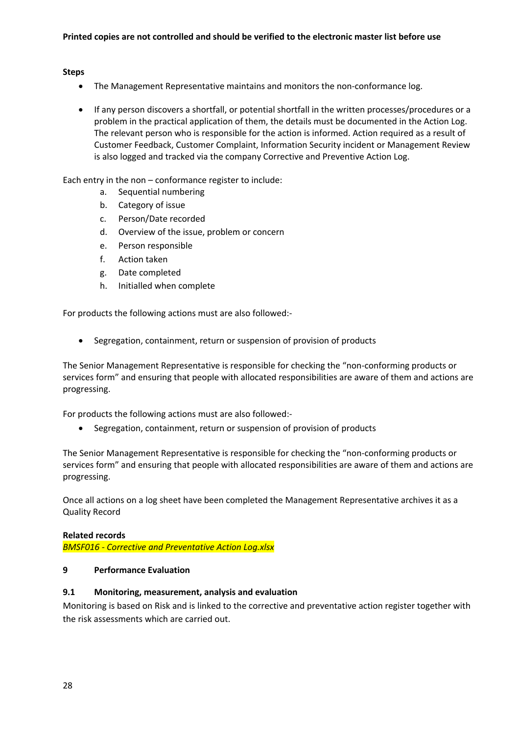#### **Steps**

- The Management Representative maintains and monitors the non-conformance log.
- If any person discovers a shortfall, or potential shortfall in the written processes/procedures or a problem in the practical application of them, the details must be documented in the Action Log. The relevant person who is responsible for the action is informed. Action required as a result of Customer Feedback, Customer Complaint, Information Security incident or Management Review is also logged and tracked via the company Corrective and Preventive Action Log.

Each entry in the non – conformance register to include:

- a. Sequential numbering
- b. Category of issue
- c. Person/Date recorded
- d. Overview of the issue, problem or concern
- e. Person responsible
- f. Action taken
- g. Date completed
- h. Initialled when complete

For products the following actions must are also followed:-

• Segregation, containment, return or suspension of provision of products

The Senior Management Representative is responsible for checking the "non-conforming products or services form" and ensuring that people with allocated responsibilities are aware of them and actions are progressing.

For products the following actions must are also followed:-

• Segregation, containment, return or suspension of provision of products

The Senior Management Representative is responsible for checking the "non-conforming products or services form" and ensuring that people with allocated responsibilities are aware of them and actions are progressing.

Once all actions on a log sheet have been completed the Management Representative archives it as a Quality Record

#### **Related records**

*BMSF016 - Corrective and Preventative Action Log.xlsx*

#### **9 Performance Evaluation**

#### **9.1 Monitoring, measurement, analysis and evaluation**

Monitoring is based on Risk and is linked to the corrective and preventative action register together with the risk assessments which are carried out.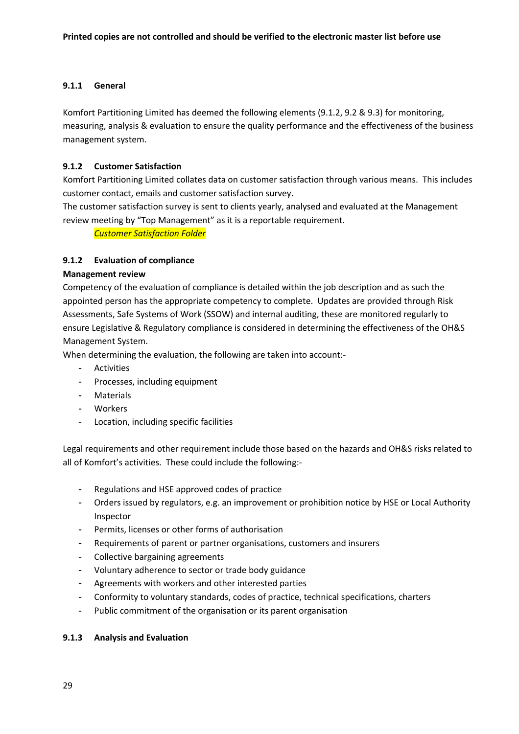## **9.1.1 General**

Komfort Partitioning Limited has deemed the following elements (9.1.2, 9.2 & 9.3) for monitoring, measuring, analysis & evaluation to ensure the quality performance and the effectiveness of the business management system.

## **9.1.2 Customer Satisfaction**

Komfort Partitioning Limited collates data on customer satisfaction through various means. This includes customer contact, emails and customer satisfaction survey.

The customer satisfaction survey is sent to clients yearly, analysed and evaluated at the Management review meeting by "Top Management" as it is a reportable requirement.

*Customer Satisfaction Folder*

## **9.1.2 Evaluation of compliance**

## **Management review**

Competency of the evaluation of compliance is detailed within the job description and as such the appointed person has the appropriate competency to complete. Updates are provided through Risk Assessments, Safe Systems of Work (SSOW) and internal auditing, these are monitored regularly to ensure Legislative & Regulatory compliance is considered in determining the effectiveness of the OH&S Management System.

When determining the evaluation, the following are taken into account:-

- Activities
- Processes, including equipment
- Materials
- Workers
- Location, including specific facilities

Legal requirements and other requirement include those based on the hazards and OH&S risks related to all of Komfort's activities. These could include the following:-

- Regulations and HSE approved codes of practice
- Orders issued by regulators, e.g. an improvement or prohibition notice by HSE or Local Authority Inspector
- Permits, licenses or other forms of authorisation
- Requirements of parent or partner organisations, customers and insurers
- Collective bargaining agreements
- Voluntary adherence to sector or trade body guidance
- Agreements with workers and other interested parties
- Conformity to voluntary standards, codes of practice, technical specifications, charters
- Public commitment of the organisation or its parent organisation

#### **9.1.3 Analysis and Evaluation**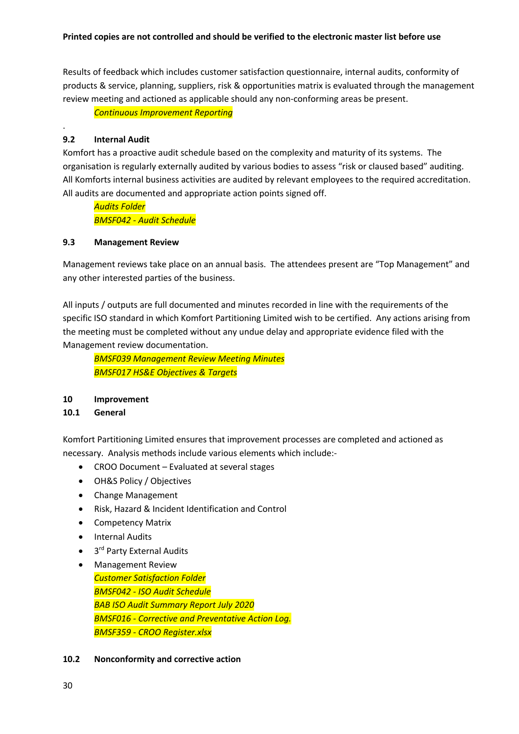#### **Printed copies are not controlled and should be verified to the electronic master list before use**

Results of feedback which includes customer satisfaction questionnaire, internal audits, conformity of products & service, planning, suppliers, risk & opportunities matrix is evaluated through the management review meeting and actioned as applicable should any non-conforming areas be present.

*Continuous Improvement Reporting*

## **9.2 Internal Audit**

.

Komfort has a proactive audit schedule based on the complexity and maturity of its systems. The organisation is regularly externally audited by various bodies to assess "risk or claused based" auditing. All Komforts internal business activities are audited by relevant employees to the required accreditation. All audits are documented and appropriate action points signed off.

*Audits Folder BMSF042 - Audit Schedule*

#### **9.3 Management Review**

Management reviews take place on an annual basis. The attendees present are "Top Management" and any other interested parties of the business.

All inputs / outputs are full documented and minutes recorded in line with the requirements of the specific ISO standard in which Komfort Partitioning Limited wish to be certified. Any actions arising from the meeting must be completed without any undue delay and appropriate evidence filed with the Management review documentation.

*BMSF039 Management Review Meeting Minutes BMSF017 HS&E Objectives & Targets*

#### **10 Improvement**

#### **10.1 General**

Komfort Partitioning Limited ensures that improvement processes are completed and actioned as necessary. Analysis methods include various elements which include:-

- CROO Document Evaluated at several stages
- OH&S Policy / Objectives
- Change Management
- Risk, Hazard & Incident Identification and Control
- Competency Matrix
- Internal Audits
- 3<sup>rd</sup> Party External Audits
- Management Review *Customer Satisfaction Folder BMSF042 - ISO Audit Schedule BAB ISO Audit Summary Report July 2020 BMSF016 - Corrective and Preventative Action Log. BMSF359 - CROO Register.xlsx*

#### **10.2 Nonconformity and corrective action**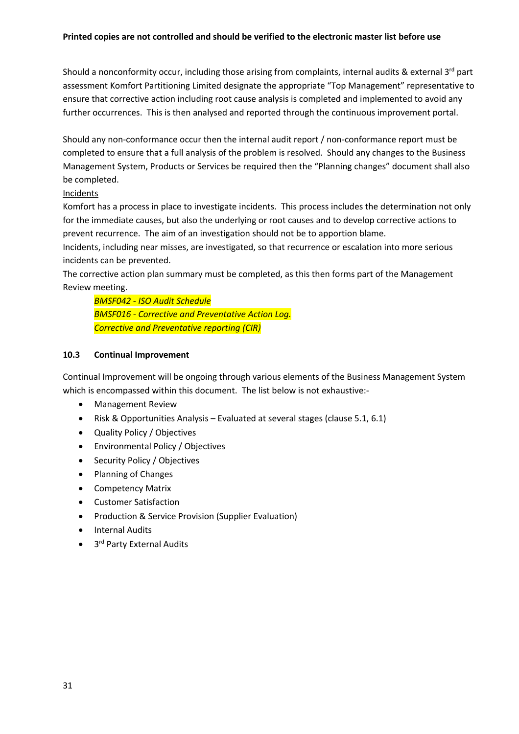#### **Printed copies are not controlled and should be verified to the electronic master list before use**

Should a nonconformity occur, including those arising from complaints, internal audits & external 3<sup>rd</sup> part assessment Komfort Partitioning Limited designate the appropriate "Top Management" representative to ensure that corrective action including root cause analysis is completed and implemented to avoid any further occurrences. This is then analysed and reported through the continuous improvement portal.

Should any non-conformance occur then the internal audit report / non-conformance report must be completed to ensure that a full analysis of the problem is resolved. Should any changes to the Business Management System, Products or Services be required then the "Planning changes" document shall also be completed.

## Incidents

Komfort has a process in place to investigate incidents. This process includes the determination not only for the immediate causes, but also the underlying or root causes and to develop corrective actions to prevent recurrence. The aim of an investigation should not be to apportion blame.

Incidents, including near misses, are investigated, so that recurrence or escalation into more serious incidents can be prevented.

The corrective action plan summary must be completed, as this then forms part of the Management Review meeting.

*BMSF042 - ISO Audit Schedule BMSF016 - Corrective and Preventative Action Log. Corrective and Preventative reporting (CIR)*

## **10.3 Continual Improvement**

Continual Improvement will be ongoing through various elements of the Business Management System which is encompassed within this document. The list below is not exhaustive:-

- Management Review
- Risk & Opportunities Analysis Evaluated at several stages (clause 5.1, 6.1)
- Quality Policy / Objectives
- Environmental Policy / Objectives
- Security Policy / Objectives
- Planning of Changes
- Competency Matrix
- Customer Satisfaction
- Production & Service Provision (Supplier Evaluation)
- Internal Audits
- 3<sup>rd</sup> Party External Audits